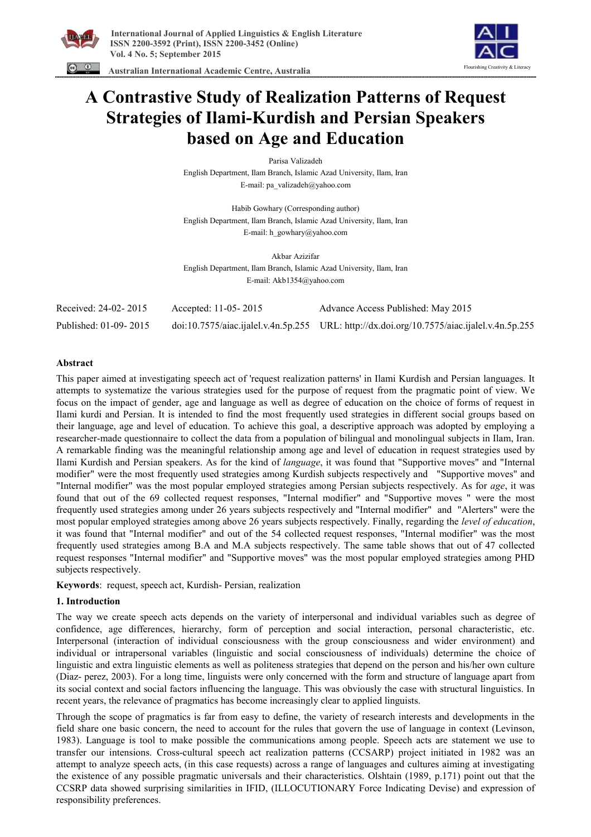





# **A Contrastive Study of Realization Patterns of Request Strategies of Ilami-Kurdish and Persian Speakers based on Age and Education**

Parisa Valizadeh English Department, Ilam Branch, Islamic Azad University, Ilam, Iran E-mail: pa\_valizadeh@yahoo.com

Habib Gowhary (Corresponding author) English Department, Ilam Branch, Islamic Azad University, Ilam, Iran E-mail: h\_gowhary@yahoo.com

Akbar Azizifar English Department, Ilam Branch, Islamic Azad University, Ilam, Iran E-mail: Akb1354@yahoo.com

| Received: 24-02-2015  | Accepted: 11-05-2015 | Advance Access Published: May 2015                                                            |
|-----------------------|----------------------|-----------------------------------------------------------------------------------------------|
| Published: 01-09-2015 |                      | $doi:10.7575/aiae$ .ijalel.v.4n.5p.255 URL: http://dx.doi.org/10.7575/aiac.ijalel.v.4n.5p.255 |

# **Abstract**

This paper aimed at investigating speech act of 'request realization patterns' in Ilami Kurdish and Persian languages. It attempts to systematize the various strategies used for the purpose of request from the pragmatic point of view. We focus on the impact of gender, age and language as well as degree of education on the choice of forms of request in Ilami kurdi and Persian. It is intended to find the most frequently used strategies in different social groups based on their language, age and level of education. To achieve this goal, a descriptive approach was adopted by employing a researcher-made questionnaire to collect the data from a population of bilingual and monolingual subjects in Ilam, Iran. A remarkable finding was the meaningful relationship among age and level of education in request strategies used by Ilami Kurdish and Persian speakers. As for the kind of *language*, it was found that "Supportive moves" and "Internal modifier" were the most frequently used strategies among Kurdish subjects respectively and "Supportive moves" and "Internal modifier" was the most popular employed strategies among Persian subjects respectively. As for *age*, it was found that out of the 69 collected request responses, "Internal modifier" and "Supportive moves " were the most frequently used strategies among under 26 years subjects respectively and "Internal modifier" and "Alerters" were the most popular employed strategies among above 26 years subjects respectively. Finally, regarding the *level of education*, it was found that "Internal modifier" and out of the 54 collected request responses, "Internal modifier" was the most frequently used strategies among B.A and M.A subjects respectively. The same table shows that out of 47 collected request responses "Internal modifier" and "Supportive moves" was the most popular employed strategies among PHD subjects respectively.

**Keywords**: request, speech act, Kurdish- Persian, realization

## **1. Introduction**

The way we create speech acts depends on the variety of interpersonal and individual variables such as degree of confidence, age differences, hierarchy, form of perception and social interaction, personal characteristic, etc. Interpersonal (interaction of individual consciousness with the group consciousness and wider environment) and individual or intrapersonal variables (linguistic and social consciousness of individuals) determine the choice of linguistic and extra linguistic elements as well as politeness strategies that depend on the person and his/her own culture (Diaz- perez, 2003). For a long time, linguists were only concerned with the form and structure of language apart from its social context and social factors influencing the language. This was obviously the case with structural linguistics. In recent years, the relevance of pragmatics has become increasingly clear to applied linguists.

Through the scope of pragmatics is far from easy to define, the variety of research interests and developments in the field share one basic concern, the need to account for the rules that govern the use of language in context (Levinson, 1983). Language is tool to make possible the communications among people. Speech acts are statement we use to transfer our intensions. Cross-cultural speech act realization patterns (CCSARP) project initiated in 1982 was an attempt to analyze speech acts, (in this case requests) across a range of languages and cultures aiming at investigating the existence of any possible pragmatic universals and their characteristics. Olshtain (1989, p.171) point out that the CCSRP data showed surprising similarities in IFID, (ILLOCUTIONARY Force Indicating Devise) and expression of responsibility preferences.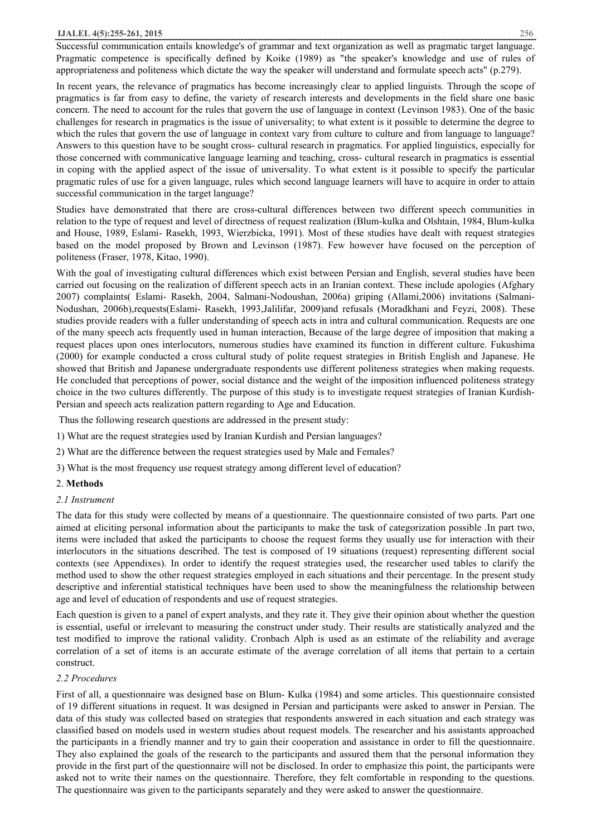#### **IJALEL 4(5):255-261, 2015** 256

Successful communication entails knowledge's of grammar and text organization as well as pragmatic target language. Pragmatic competence is specifically defined by Koike (1989) as "the speaker's knowledge and use of rules of appropriateness and politeness which dictate the way the speaker will understand and formulate speech acts" (p.279).

In recent years, the relevance of pragmatics has become increasingly clear to applied linguists. Through the scope of pragmatics is far from easy to define, the variety of research interests and developments in the field share one basic concern. The need to account for the rules that govern the use of language in context (Levinson 1983). One of the basic challenges for research in pragmatics is the issue of universality; to what extent is it possible to determine the degree to which the rules that govern the use of language in context vary from culture to culture and from language to language? Answers to this question have to be sought cross- cultural research in pragmatics. For applied linguistics, especially for those concerned with communicative language learning and teaching, cross- cultural research in pragmatics is essential in coping with the applied aspect of the issue of universality. To what extent is it possible to specify the particular pragmatic rules of use for a given language, rules which second language learners will have to acquire in order to attain successful communication in the target language?

Studies have demonstrated that there are cross-cultural differences between two different speech communities in relation to the type of request and level of directness of request realization (Blum-kulka and Olshtain, 1984, Blum-kulka and House, 1989, Eslami- Rasekh, 1993, Wierzbicka, 1991). Most of these studies have dealt with request strategies based on the model proposed by Brown and Levinson (1987). Few however have focused on the perception of politeness (Fraser, 1978, Kitao, 1990).

With the goal of investigating cultural differences which exist between Persian and English, several studies have been carried out focusing on the realization of different speech acts in an Iranian context. These include apologies (Afghary 2007) complaints( Eslami- Rasekh, 2004, Salmani-Nodoushan, 2006a) griping (Allami,2006) invitations (Salmani-Nodushan, 2006b),requests(Eslami- Rasekh, 1993,Jalilifar, 2009)and refusals (Moradkhani and Feyzi, 2008). These studies provide readers with a fuller understanding of speech acts in intra and cultural communication. Requests are one of the many speech acts frequently used in human interaction, Because of the large degree of imposition that making a request places upon ones interlocutors, numerous studies have examined its function in different culture. Fukushima (2000) for example conducted a cross cultural study of polite request strategies in British English and Japanese. He showed that British and Japanese undergraduate respondents use different politeness strategies when making requests. He concluded that perceptions of power, social distance and the weight of the imposition influenced politeness strategy choice in the two cultures differently. The purpose of this study is to investigate request strategies of Iranian Kurdish-Persian and speech acts realization pattern regarding to Age and Education.

Thus the following research questions are addressed in the present study:

- 1) What are the request strategies used by Iranian Kurdish and Persian languages?
- 2) What are the difference between the request strategies used by Male and Females?
- 3) What is the most frequency use request strategy among different level of education?

# 2. **Methods**

# *2.1 Instrument*

The data for this study were collected by means of a questionnaire. The questionnaire consisted of two parts. Part one aimed at eliciting personal information about the participants to make the task of categorization possible .In part two, items were included that asked the participants to choose the request forms they usually use for interaction with their interlocutors in the situations described. The test is composed of 19 situations (request) representing different social contexts (see Appendixes). In order to identify the request strategies used, the researcher used tables to clarify the method used to show the other request strategies employed in each situations and their percentage. In the present study descriptive and inferential statistical techniques have been used to show the meaningfulness the relationship between age and level of education of respondents and use of request strategies.

Each question is given to a panel of expert analysts, and they rate it. They give their opinion about whether the question is essential, useful or irrelevant to measuring the construct under study. Their results are statistically analyzed and the test modified to improve the rational validity. Cronbach Alph is used as an estimate of the reliability and average correlation of a set of items is an accurate estimate of the average correlation of all items that pertain to a certain construct.

## *2.2 Procedures*

First of all, a questionnaire was designed base on Blum- Kulka (1984) and some articles. This questionnaire consisted of 19 different situations in request. It was designed in Persian and participants were asked to answer in Persian. The data of this study was collected based on strategies that respondents answered in each situation and each strategy was classified based on models used in western studies about request models. The researcher and his assistants approached the participants in a friendly manner and try to gain their cooperation and assistance in order to fill the questionnaire. They also explained the goals of the research to the participants and assured them that the personal information they provide in the first part of the questionnaire will not be disclosed. In order to emphasize this point, the participants were asked not to write their names on the questionnaire. Therefore, they felt comfortable in responding to the questions. The questionnaire was given to the participants separately and they were asked to answer the questionnaire.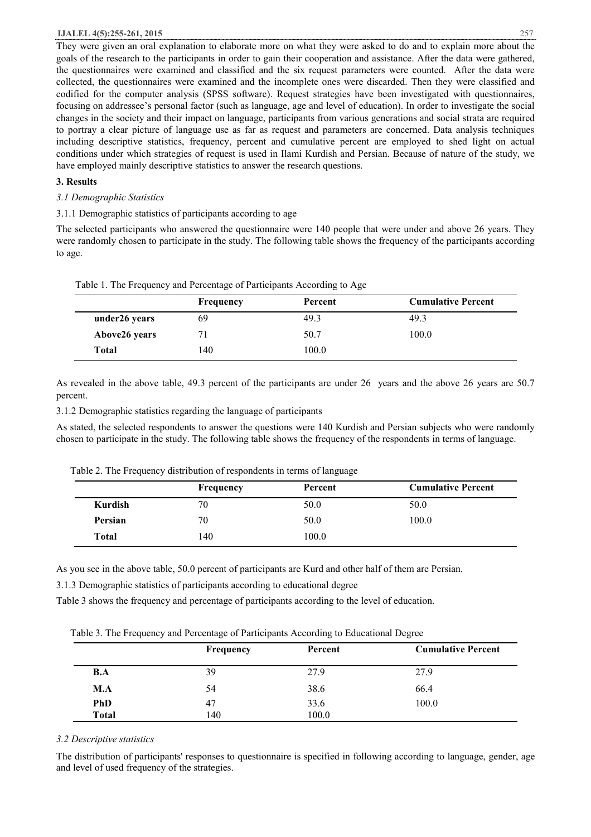## **IJALEL 4(5):255-261, 2015** 257

They were given an oral explanation to elaborate more on what they were asked to do and to explain more about the goals of the research to the participants in order to gain their cooperation and assistance. After the data were gathered, the questionnaires were examined and classified and the six request parameters were counted. After the data were collected, the questionnaires were examined and the incomplete ones were discarded. Then they were classified and codified for the computer analysis (SPSS software). Request strategies have been investigated with questionnaires, focusing on addressee's personal factor (such as language, age and level of education). In order to investigate the social changes in the society and their impact on language, participants from various generations and social strata are required to portray a clear picture of language use as far as request and parameters are concerned. Data analysis techniques including descriptive statistics, frequency, percent and cumulative percent are employed to shed light on actual conditions under which strategies of request is used in Ilami Kurdish and Persian. Because of nature of the study, we have employed mainly descriptive statistics to answer the research questions.

## **3. Results**

## *3.1 Demographic Statistics*

3.1.1 Demographic statistics of participants according to age

The selected participants who answered the questionnaire were 140 people that were under and above 26 years. They were randomly chosen to participate in the study. The following table shows the frequency of the participants according to age.

|  |  | Table 1. The Frequency and Percentage of Participants According to Age |
|--|--|------------------------------------------------------------------------|
|  |  |                                                                        |

|               | Frequency | Percent | <b>Cumulative Percent</b> |
|---------------|-----------|---------|---------------------------|
| under26 years | 69        | 49.3    | 49.3                      |
| Above26 years |           | 50.7    | 100.0                     |
| Total         | 140       | 100.0   |                           |

As revealed in the above table, 49.3 percent of the participants are under 26 years and the above 26 years are 50.7 percent.

3.1.2 Demographic statistics regarding the language of participants

As stated, the selected respondents to answer the questions were 140 Kurdish and Persian subjects who were randomly chosen to participate in the study. The following table shows the frequency of the respondents in terms of language.

| Table 2. The Frequency distribution of respondents in terms of language |  |  |  |  |  |  |  |
|-------------------------------------------------------------------------|--|--|--|--|--|--|--|
|-------------------------------------------------------------------------|--|--|--|--|--|--|--|

|         | <b>Frequency</b> | Percent | <b>Cumulative Percent</b> |
|---------|------------------|---------|---------------------------|
| Kurdish | 70               | 50.0    | 50.0                      |
| Persian | 70               | 50.0    | 100.0                     |
| Total   | 140              | 100.0   |                           |

As you see in the above table, 50.0 percent of participants are Kurd and other half of them are Persian.

3.1.3 Demographic statistics of participants according to educational degree

Table 3 shows the frequency and percentage of participants according to the level of education.

Table 3. The Frequency and Percentage of Participants According to Educational Degree

|                            | Frequency | Percent       | <b>Cumulative Percent</b> |
|----------------------------|-----------|---------------|---------------------------|
| B.A                        | 39        | 27.9          | 27.9                      |
| M.A                        | 54        | 38.6          | 66.4                      |
| <b>PhD</b><br><b>Total</b> | 47<br>140 | 33.6<br>100.0 | 100.0                     |

## *3.2 Descriptive statistics*

The distribution of participants' responses to questionnaire is specified in following according to language, gender, age and level of used frequency of the strategies.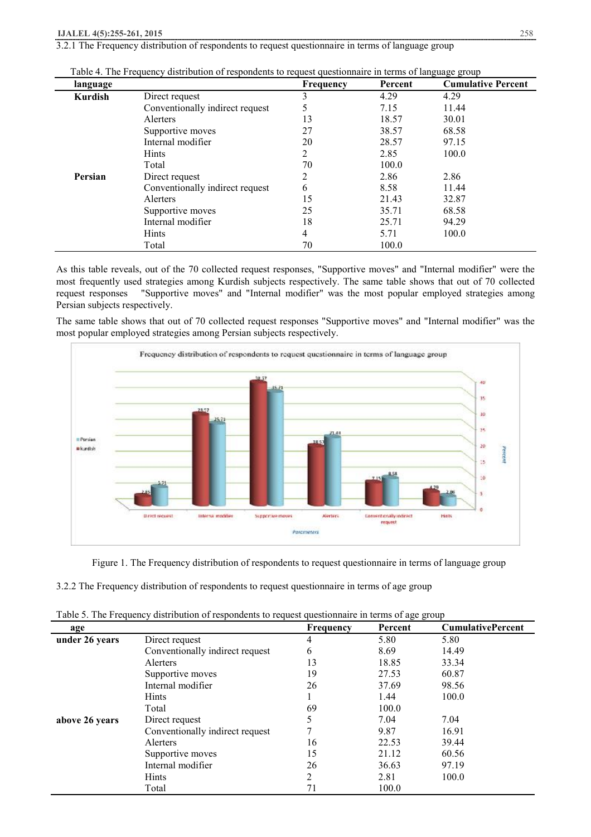3.2.1 The Frequency distribution of respondents to request questionnaire in terms of language group

| language |                                 | <b>Frequency</b> | Percent | <b>Cumulative Percent</b> |
|----------|---------------------------------|------------------|---------|---------------------------|
| Kurdish  | Direct request                  | 3                | 4.29    | 4.29                      |
|          | Conventionally indirect request | 5                | 7.15    | 11.44                     |
|          | Alerters                        | 13               | 18.57   | 30.01                     |
|          | Supportive moves                | 27               | 38.57   | 68.58                     |
|          | Internal modifier               | 20               | 28.57   | 97.15                     |
|          | <b>Hints</b>                    | 2                | 2.85    | 100.0                     |
|          | Total                           | 70               | 100.0   |                           |
| Persian  | Direct request                  | 2                | 2.86    | 2.86                      |
|          | Conventionally indirect request | 6                | 8.58    | 11.44                     |
|          | Alerters                        | 15               | 21.43   | 32.87                     |
|          | Supportive moves                | 25               | 35.71   | 68.58                     |
|          | Internal modifier               | 18               | 25.71   | 94.29                     |
|          | <b>Hints</b>                    | 4                | 5.71    | 100.0                     |
|          | Total                           | 70               | 100.0   |                           |

Table 4. The Frequency distribution of respondents to request questionnaire in terms of language group

As this table reveals, out of the 70 collected request responses, "Supportive moves" and "Internal modifier" were the most frequently used strategies among Kurdish subjects respectively. The same table shows that out of 70 collected request responses "Supportive moves" and "Internal modifier" was the most popular employed strategies among Persian subjects respectively.

The same table shows that out of 70 collected request responses "Supportive moves" and "Internal modifier" was the most popular employed strategies among Persian subjects respectively.



Figure 1. The Frequency distribution of respondents to request questionnaire in terms of language group

3.2.2 The Frequency distribution of respondents to request questionnaire in terms of age group

| age            |                                 | <b>Frequency</b> | Percent | <b>CumulativePercent</b> |
|----------------|---------------------------------|------------------|---------|--------------------------|
| under 26 years | Direct request                  | 4                | 5.80    | 5.80                     |
|                | Conventionally indirect request | 6                | 8.69    | 14.49                    |
|                | Alerters                        | 13               | 18.85   | 33.34                    |
|                | Supportive moves                | 19               | 27.53   | 60.87                    |
|                | Internal modifier               | 26               | 37.69   | 98.56                    |
|                | <b>Hints</b>                    |                  | 1.44    | 100.0                    |
|                | Total                           | 69               | 100.0   |                          |
| above 26 years | Direct request                  |                  | 7.04    | 7.04                     |
|                | Conventionally indirect request |                  | 9.87    | 16.91                    |
|                | Alerters                        | 16               | 22.53   | 39.44                    |
|                | Supportive moves                | 15               | 21.12   | 60.56                    |
|                | Internal modifier               | 26               | 36.63   | 97.19                    |
|                | <b>Hints</b>                    | 2                | 2.81    | 100.0                    |
|                | Total                           | 71               | 100.0   |                          |

Table 5. The Frequency distribution of respondents to request questionnaire in terms of age group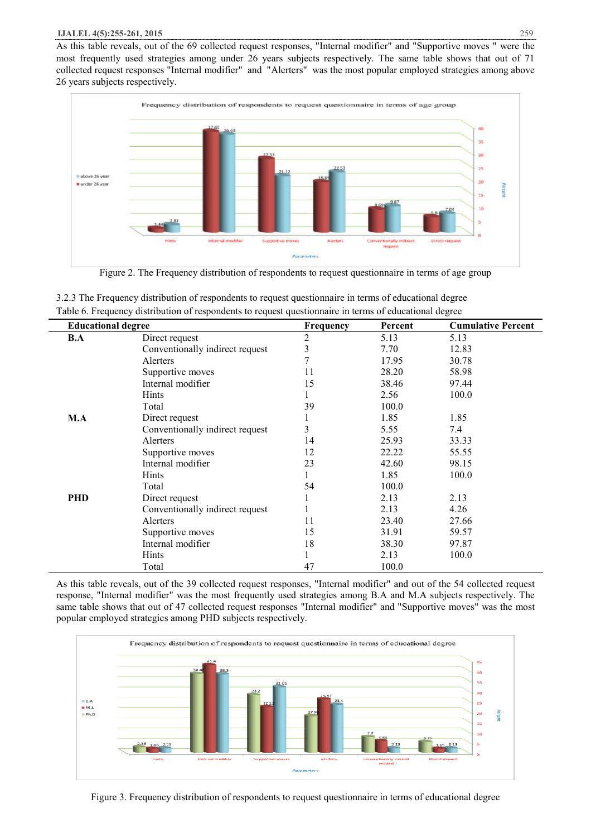As this table reveals, out of the 69 collected request responses, "Internal modifier" and "Supportive moves " were the most frequently used strategies among under 26 years subjects respectively. The same table shows that out of 71 collected request responses "Internal modifier" and "Alerters" was the most popular employed strategies among above 26 years subjects respectively.



Figure 2. The Frequency distribution of respondents to request questionnaire in terms of age group

| 3.2.3 The Frequency distribution of respondents to request questionnaire in terms of educational degree |
|---------------------------------------------------------------------------------------------------------|
| Table 6. Frequency distribution of respondents to request questionnaire in terms of educational degree  |

|            | <b>Educational degree</b>       |              | Percent | <b>Cumulative Percent</b> |
|------------|---------------------------------|--------------|---------|---------------------------|
| B.A        | Direct request                  | 2            | 5.13    | 5.13                      |
|            | Conventionally indirect request | 3            | 7.70    | 12.83                     |
|            | Alerters                        |              | 17.95   | 30.78                     |
|            | Supportive moves                | 11           | 28.20   | 58.98                     |
|            | Internal modifier               | 15           | 38.46   | 97.44                     |
|            | Hints                           |              | 2.56    | 100.0                     |
|            | Total                           | 39           | 100.0   |                           |
| M.A        | Direct request                  |              | 1.85    | 1.85                      |
|            | Conventionally indirect request | 3            | 5.55    | 7.4                       |
|            | Alerters                        | 14           | 25.93   | 33.33                     |
|            | Supportive moves                | 12           | 22.22   | 55.55                     |
|            | Internal modifier               | 23           | 42.60   | 98.15                     |
|            | Hints                           | $\mathbf{I}$ | 1.85    | 100.0                     |
|            | Total                           | 54           | 100.0   |                           |
| <b>PHD</b> | Direct request                  |              | 2.13    | 2.13                      |
|            | Conventionally indirect request |              | 2.13    | 4.26                      |
|            | Alerters                        | 11           | 23.40   | 27.66                     |
|            | Supportive moves                | 15           | 31.91   | 59.57                     |
|            | Internal modifier               | 18           | 38.30   | 97.87                     |
|            | <b>Hints</b>                    |              | 2.13    | 100.0                     |
|            | Total                           | 47           | 100.0   |                           |

As this table reveals, out of the 39 collected request responses, "Internal modifier" and out of the 54 collected request response, "Internal modifier" was the most frequently used strategies among B.A and M.A subjects respectively. The same table shows that out of 47 collected request responses "Internal modifier" and "Supportive moves" was the most popular employed strategies among PHD subjects respectively.



Figure 3. Frequency distribution of respondents to request questionnaire in terms of educational degree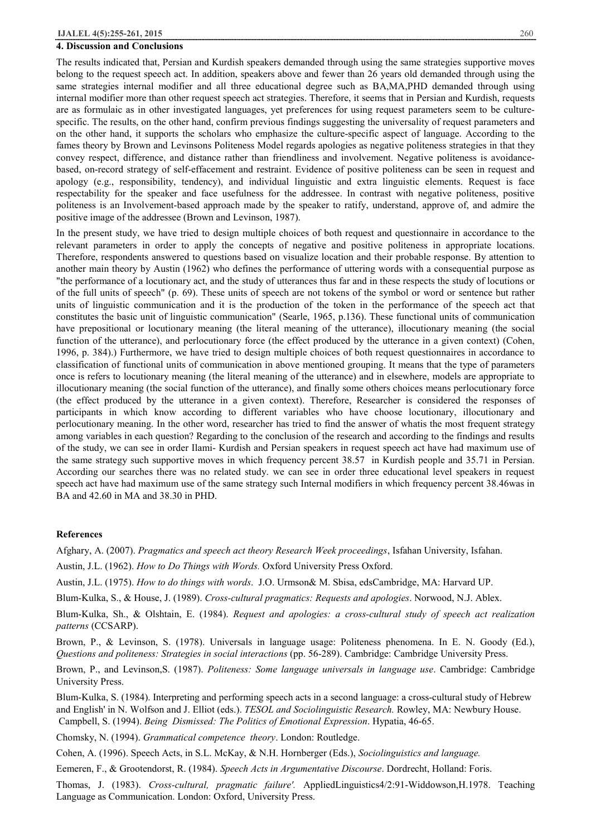#### **4. Discussion and Conclusions**

The results indicated that, Persian and Kurdish speakers demanded through using the same strategies supportive moves belong to the request speech act. In addition, speakers above and fewer than 26 years old demanded through using the same strategies internal modifier and all three educational degree such as BA,MA,PHD demanded through using internal modifier more than other request speech act strategies. Therefore, it seems that in Persian and Kurdish, requests are as formulaic as in other investigated languages, yet preferences for using request parameters seem to be culturespecific. The results, on the other hand, confirm previous findings suggesting the universality of request parameters and on the other hand, it supports the scholars who emphasize the culture-specific aspect of language. According to the fames theory by Brown and Levinsons Politeness Model regards apologies as negative politeness strategies in that they convey respect, difference, and distance rather than friendliness and involvement. Negative politeness is avoidancebased, on-record strategy of self-effacement and restraint. Evidence of positive politeness can be seen in request and apology (e.g., responsibility, tendency), and individual linguistic and extra linguistic elements. Request is face respectability for the speaker and face usefulness for the addressee. In contrast with negative politeness, positive politeness is an Involvement-based approach made by the speaker to ratify, understand, approve of, and admire the positive image of the addressee (Brown and Levinson, 1987).

In the present study, we have tried to design multiple choices of both request and questionnaire in accordance to the relevant parameters in order to apply the concepts of negative and positive politeness in appropriate locations. Therefore, respondents answered to questions based on visualize location and their probable response. By attention to another main theory by Austin (1962) who defines the performance of uttering words with a consequential purpose as "the performance of a locutionary act, and the study of utterances thus far and in these respects the study of locutions or of the full units of speech" (p. 69). These units of speech are not tokens of the symbol or word or sentence but rather units of linguistic communication and it is the production of the token in the performance of the speech act that constitutes the basic unit of linguistic communication" (Searle, 1965, p.136). These functional units of communication have prepositional or locutionary meaning (the literal meaning of the utterance), illocutionary meaning (the social function of the utterance), and perlocutionary force (the effect produced by the utterance in a given context) (Cohen, 1996, p. 384).) Furthermore, we have tried to design multiple choices of both request questionnaires in accordance to classification of functional units of communication in above mentioned grouping. It means that the type of parameters once is refers to locutionary meaning (the literal meaning of the utterance) and in elsewhere, models are appropriate to illocutionary meaning (the social function of the utterance), and finally some others choices means perlocutionary force (the effect produced by the utterance in a given context). Therefore, Researcher is considered the responses of participants in which know according to different variables who have choose locutionary, illocutionary and perlocutionary meaning. In the other word, researcher has tried to find the answer of whatis the most frequent strategy among variables in each question? Regarding to the conclusion of the research and according to the findings and results of the study, we can see in order Ilami- Kurdish and Persian speakers in request speech act have had maximum use of the same strategy such supportive moves in which frequency percent 38.57 in Kurdish people and 35.71 in Persian. According our searches there was no related study. we can see in order three educational level speakers in request speech act have had maximum use of the same strategy such Internal modifiers in which frequency percent 38.46was in BA and 42.60 in MA and 38.30 in PHD.

#### **References**

Afghary, A. (2007). *Pragmatics and speech act theory Research Week proceedings*, Isfahan University, Isfahan.

Austin, J.L. (1962). *How to Do Things with Words.* Oxford University Press Oxford.

Austin, J.L. (1975). *How to do things with words*. J.O. Urmson& M. Sbisa, edsCambridge, MA: Harvard UP.

Blum-Kulka, S., & House, J. (1989). *Cross-cultural pragmatics: Requests and apologies*. Norwood, N.J. Ablex.

Blum-Kulka, Sh., & Olshtain, E. (1984). *Request and apologies: a cross-cultural study of speech act realization patterns* (CCSARP).

Brown, P., & Levinson, S. (1978). Universals in language usage: Politeness phenomena. In E. N. Goody (Ed.), *Questions and politeness: Strategies in social interactions* (pp. 56-289). Cambridge: Cambridge University Press.

Brown, P., and Levinson,S. (1987). *Politeness: Some language universals in language use*. Cambridge: Cambridge University Press.

Blum-Kulka, S. (1984). Interpreting and performing speech acts in a second language: a cross-cultural study of Hebrew and English' in N. Wolfson and J. Elliot (eds.). *TESOL and Sociolinguistic Research.* Rowley, MA: Newbury House. Campbell, S. (1994). *Being Dismissed: The Politics of Emotional Expression*. Hypatia, 46-65.

Chomsky, N. (1994). *Grammatical competence theory*. London: Routledge.

Cohen, A. (1996). Speech Acts, in S.L. McKay, & N.H. Hornberger (Eds.), *Sociolinguistics and language.*

Eemeren, F., & Grootendorst, R. (1984). *Speech Acts in Argumentative Discourse*. Dordrecht, Holland: Foris.

Thomas, J. (1983). *Cross-cultural, pragmatic failure'.* AppliedLinguistics4/2:91-Widdowson,H.1978. Teaching Language as Communication. London: Oxford, University Press.